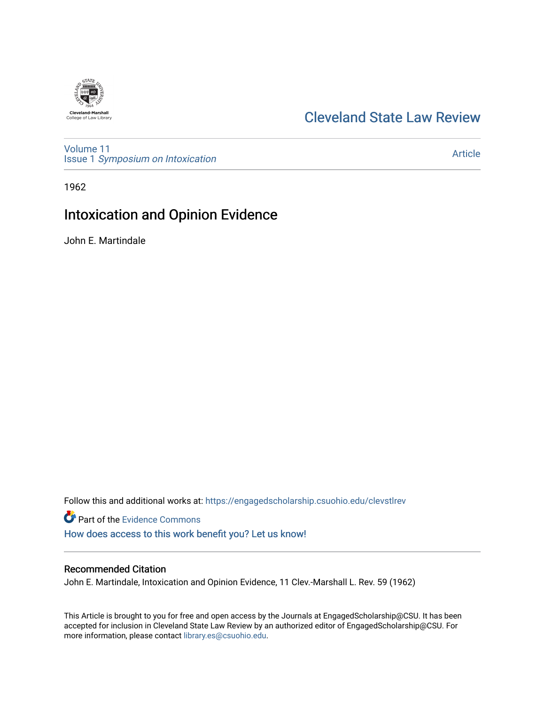

# [Cleveland State Law Review](https://engagedscholarship.csuohio.edu/clevstlrev)

[Volume 11](https://engagedscholarship.csuohio.edu/clevstlrev/vol11) Issue 1 [Symposium on Intoxication](https://engagedscholarship.csuohio.edu/clevstlrev/vol11/iss1) 

[Article](https://engagedscholarship.csuohio.edu/clevstlrev/vol11/iss1/6) 

1962

# Intoxication and Opinion Evidence

John E. Martindale

Follow this and additional works at: [https://engagedscholarship.csuohio.edu/clevstlrev](https://engagedscholarship.csuohio.edu/clevstlrev?utm_source=engagedscholarship.csuohio.edu%2Fclevstlrev%2Fvol11%2Fiss1%2F6&utm_medium=PDF&utm_campaign=PDFCoverPages)

Part of the [Evidence Commons](http://network.bepress.com/hgg/discipline/601?utm_source=engagedscholarship.csuohio.edu%2Fclevstlrev%2Fvol11%2Fiss1%2F6&utm_medium=PDF&utm_campaign=PDFCoverPages)  [How does access to this work benefit you? Let us know!](http://library.csuohio.edu/engaged/)

## Recommended Citation

John E. Martindale, Intoxication and Opinion Evidence, 11 Clev.-Marshall L. Rev. 59 (1962)

This Article is brought to you for free and open access by the Journals at EngagedScholarship@CSU. It has been accepted for inclusion in Cleveland State Law Review by an authorized editor of EngagedScholarship@CSU. For more information, please contact [library.es@csuohio.edu](mailto:library.es@csuohio.edu).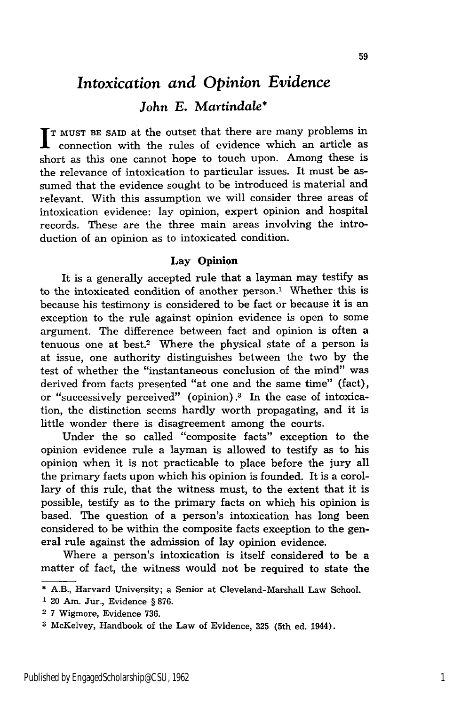# *Intoxication and Opinion Evidence John E. Martindale\**

**T MUST BE** SAID at the outset that there are many problems in connection with the rules of evidence which an article as short as this one cannot hope to touch upon. Among these is the relevance of intoxication to particular issues. It must be assumed that the evidence sought to be introduced is material and relevant. With this assumption we will consider three areas of intoxication evidence: lay opinion, expert opinion and hospital records. These are the three main areas involving the introduction of an opinion as to intoxicated condition.

### **Lay Opinion**

It is a generally accepted rule that a layman may testify as to the intoxicated condition of another person.1 Whether this is because his testimony is considered to be fact or because it is an exception to the rule against opinion evidence is open to some argument. The difference between fact and opinion is often a tenuous one at best.2 Where the physical state of a person is at issue, one authority distinguishes between the two by the test of whether the "instantaneous conclusion of the mind" was derived from facts presented "at one and the same time" (fact), or "successively perceived" (opinion).3 In the case of intoxication, the distinction seems hardly worth propagating, and it is little wonder there is disagreement among the courts.

Under the so called "composite facts" exception to the opinion evidence rule a layman is allowed to testify as to his opinion when it is not practicable to place before the jury all the primary facts upon which his opinion is founded. It is a corollary of this rule, that the witness must, to the extent that it is possible, testify as to the primary facts on which his opinion is based. The question of a person's intoxication has long been considered to be within the composite facts exception to the general rule against the admission of lay opinion evidence.

Where a person's intoxication is itself considered to be a matter of fact, the witness would not be required to state the

- **1** 20 Am. Jur., Evidence § 876.
- 2 7 Wigmore, Evidence 736.

<sup>\*</sup>A.B., Harvard University; a Senior at Cleveland-Marshall Law School.

**<sup>3</sup>** McKelvey, Handbook of the Law of Evidence, **325** (5th ed. 1944).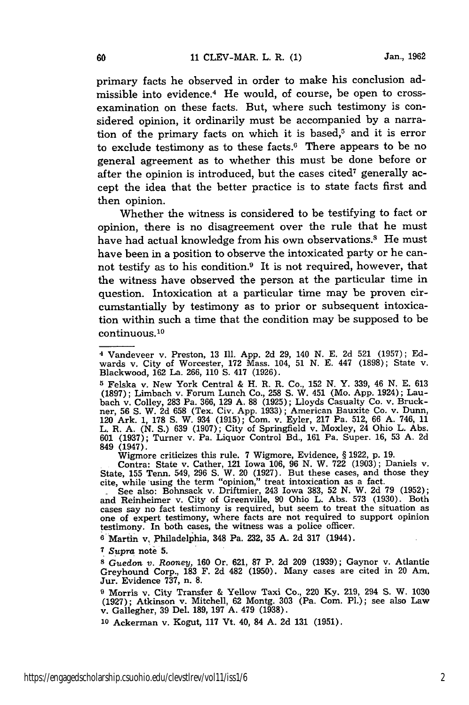primary facts he observed in order to make his conclusion admissible into evidence.4 He would, of course, be open to crossexamination on these facts. But, where such testimony is considered opinion, it ordinarily must be accompanied by a narration of the primary facts on which it is based, $5$  and it is error to exclude testimony as to these facts. $6$  There appears to be no general agreement as to whether this must be done before or after the opinion is introduced, but the cases cited<sup>7</sup> generally accept the idea that the better practice is to state facts first and then opinion.

Whether the witness is considered to be testifying to fact or opinion, there is no disagreement over the rule that he must have had actual knowledge from his own observations.<sup>8</sup> He must have been in a position to observe the intoxicated party or he cannot testify as to his condition.9 It is not required, however, that the witness have observed the person at the particular time in question. Intoxication at a particular time may be proven circumstantially by testimony as to prior or subsequent intoxication within such a time that the condition may be supposed to be continuous. <sup>10</sup>

**5** Felska v. New York Central & H. R. R. Co., 152 N. Y. 339, 46 N. E. 613 (1897); Limbach v. Forum Lunch Co., 258 S. W. 451 (Mo. App. 1924); Laubach v. Colley, 283 Pa. 366, 129 A. 88 (1925); Lloyds Casualty Co. v. Bruckner, 56 **S.** W. 2d 658 (Tex. Civ. App. 1933); American Bauxite Co. v. Dunn, 120 Ark. 1, 178 **S.** W. 934 (1915); Com. v. Eyler, 217 Pa. 512, 66 A. 746, 11 L. R. A. (N. **S.)** 639 (1907); City of Springfield v. Moxley, 24 Ohio L. Abs. 601 **(1937);** Turner v. Pa. Liquor Control Bd., **161** Pa. Super. **16,** 53 **A. 2d** 849 (1947).

Wigmore criticizes this rule. 7 Wigmore, Evidence, § 1922, p. 19. Contra: State v. Cather, 121 Iowa 106, 96 N. W. 722 (1903); Daniels v.

State, 155 Tenn. 549, 296 **S.** W. 20 (1927). But these cases, and those they cite, while using the term "opinion," treat intoxication as a fact.

See also: Bohnsack v. Driftmier, 243 Iowa 383, 52 N. W. 2d 79 (1952); and Reinheimer v. City of Greenville, 90 Ohio L. Abs. 573 (1930). Both cases say no fact testimony is required, but seem to treat the situation as one of expert testimony, where facts are not required to support opinion testimony. In both cases, the witness was a police officer.

**<sup>6</sup>**Martin v, Philadelphia, 348 Pa. **232, 35 A. 2d 317** (1944).

**7.** *Supra* note **5.**

60

**8** *Guedon v.* Rooney, 160 Or. 621, **87** P. 2d **209** (1939); Gaynor v. Atlantic Greyhound Corp., 183 F. **2d** 482 (1950). Many cases are cited in 20 Am. Jur. Evidence 737, n. 8.

**9** Morris v. City Transfer & Yellow Taxi Co., 220 Ky. 219, 294 S. W. 1030 (1927); Atkinson v. Mitchell, 62 Montg. 303 (Pa. Com. P1.); see also Law v. Gallegher, 39 Del. 189, 197 A. 479 (1938).

**<sup>10</sup>**Ackerman v. Kogut, 117 Vt. 40, 84 A. 2d 131 (1951).

<sup>4</sup> Vandeveer v. Preston, 13 Ill. App. 2d 29, 140 N. E. 2d 521 (1957); Edwards v. City of Worcester, 172 Mass. 104, 51 N. E. 447 (1898); State v. Blackwood, 162 La. 266, 110 S. 417 (1926).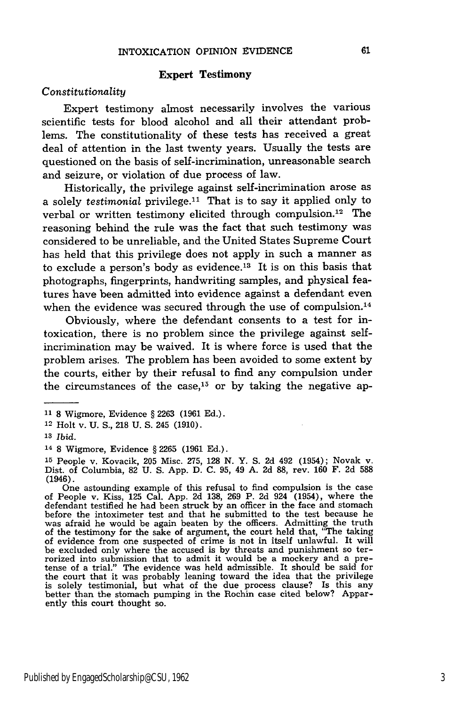#### **Expert Testimony**

#### *Constitutionality*

Expert testimony almost necessarily involves the various scientific tests for blood alcohol and all their attendant problems. The constitutionality of these tests has received a great deal of attention in the last twenty years. Usually the tests are questioned on the basis of self-incrimination, unreasonable search and seizure, or violation of due process of law.

Historically, the privilege against self-incrimination arose as a solely *testimonial* privilege.<sup>11</sup> That is to say it applied only to verbal or written testimony elicited through compulsion. 12 The reasoning behind the rule was the fact that such testimony was considered to be unreliable, and the United States Supreme Court has held that this privilege does not apply in such a manner as to exclude a person's body as evidence.<sup>13</sup> It is on this basis that photographs, fingerprints, handwriting samples, and physical features have been admitted into evidence against a defendant even when the evidence was secured through the use of compulsion.<sup>14</sup>

Obviously, where the defendant consents to a test for intoxication, there is no problem since the privilege against selfincrimination may be waived. It is where force is used that the problem arises. The problem has been avoided to some extent by the courts, either by their refusal to find any compulsion under the circumstances of the case,  $15$  or by taking the negative ap-

**<sup>11</sup>**8 Wigmore, Evidence **§** 2263 (1961 Ed.).

**<sup>12</sup>**Holt v. U. S., **218** U. S. 245 (1910).

**<sup>13</sup>***Ibid.*

<sup>14</sup>**8** Wigmore, Evidence **§** 2265 (1961 Ed.).

**<sup>15</sup>**People v. Kovacik, 205 Misc. 275, **128** N. Y. S. 2d 492 (1954); Novak v. Dist. of Columbia, 82 U. S. App. D. C. 95, 49 A. 2d **88,** rev. 160 F. **2d** 588 (1946).

One astounding example of this refusal to find compulsion is the case<br>of People v. Kiss, 125 Cal. App. 2d 138, 269 P. 2d 924 (1954), where the<br>defendant testified he had been struck by an officer in the face and stomach before the intoximeter test and that he submitted to the test because he was afraid he would be again beaten by the officers. Admitting the truth of the testimony for the sake of argument, the court held that, "The taking of evidence from one suspected of crime is not in itself unlawful. It will be excluded only where the accused is by threats and punishment so terrorized into submission that to admit it would be a mockery and a pretense of a trial." The evidence was held admissible. It should be said for the court that it was probably leaning toward the idea that the privilege is solely testimonial, but what of the due process clause? Is this any better than the stomach pumping in the Rochin case cited below? Apparently this court thought so.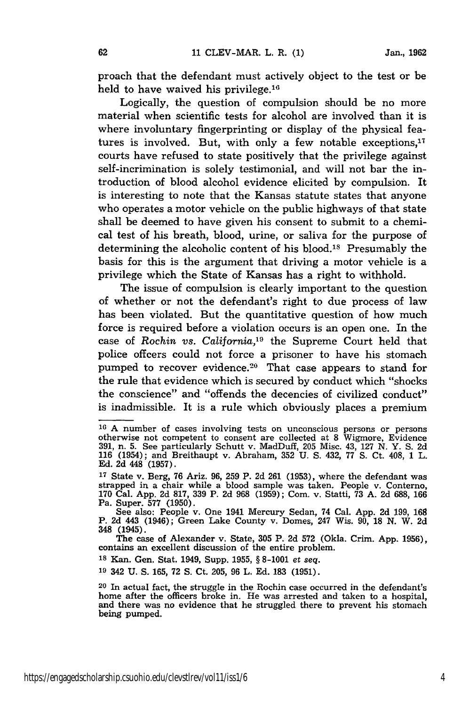proach that the defendant must actively object to the test or be held to have waived his privilege.<sup>16</sup>

Logically, the question of compulsion should be no more material when scientific tests for alcohol are involved than it is where involuntary fingerprinting or display of the physical features is involved. But, with only a few notable exceptions,<sup>17</sup> courts have refused to state positively that the privilege against self-incrimination is solely testimonial, and will not bar the introduction of blood alcohol evidence elicited by compulsion. It is interesting to note that the Kansas statute states that anyone who operates a motor vehicle on the public highways of that state shall be deemed to have given his consent to submit to a chemical test of his breath, blood, urine, or saliva for the purpose of determining the alcoholic content of his blood.1s Presumably the basis for this is the argument that driving a motor vehicle is a privilege which the State of Kansas has a right to withhold.

The issue of compulsion is clearly important to the question of whether or not the defendant's right to due process of law has been violated. But the quantitative question of how much force is required before a violation occurs is an open one. In the case of Rochin *vs. California,19* the Supreme Court held that police offcers could not force a prisoner to have his stomach pumped to recover evidence.<sup>20</sup> That case appears to stand for the rule that evidence which is secured by conduct which "shocks the conscience" and "offends the decencies of civilized conduct" is inadmissible. It is a rule which obviously places a premium

**<sup>18</sup>**Kan. Gen. Stat. 1949, Supp. 1955, § 8-1001 et *seq.*

**<sup>19</sup>**342 U. **S.** 165, 72 **S.** Ct. 205, 96 L. Ed. 183 (1951).

**<sup>16</sup>**A number of cases involving tests on unconscious persons or persons otherwise not competent to consent are collected at 8 Wigmore, Evidence 391, n. 5. See particularly Schutt v. MadDuff, 205 Misc. 43, 127 N. Y. S. 2d 116 (1954); and Breithaupt v. Abraham, 352 U. **S.** 432, 77 **S.** Ct. 408, 1 L. Ed. 2d 448 (1957).

**<sup>17</sup>**State v. Berg, 76 Ariz. 96, 259 P. 2d 261 (1953), where the defendant was strapped in a chair while a blood sample was taken. People v. Conterno, 170 Cal. App. 2d 817, 339 P. 2d 968 (1959); Com. v. Statti, 73 A. 2d 688, 166 Pa. Super. 577 (1950).

See also: People v. One 1941 Mercury Sedan, 74 Cal. App. 2d 199, 168<br>P. 2d 443 (1946); Green Lake County v. Domes, 247 Wis. 90, 18 N. W. 2d 348 (1945).

The case of Alexander v. State, **305** P. 2d 572 (Okla. Crim. App. 1956), contains an excellent discussion of the entire problem.

<sup>20</sup> In actual fact, the struggle in the Rochin case occurred in the defendant's home after the officers broke in. He was arrested and taken to a hospital, and there was no evidence that he struggled there to prevent his stomach being pumped.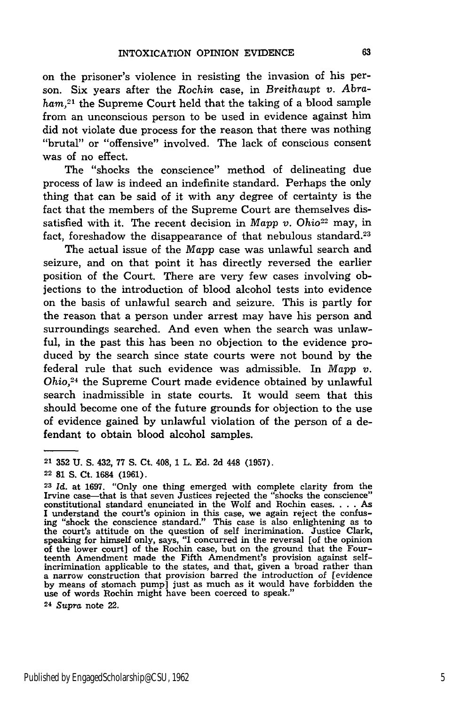on the prisoner's violence in resisting the invasion of his person. Six years after the *Rochin* case, in *Breithaupt v. Abraham,21* the Supreme Court held that the taking of a blood sample from an unconscious person to be used in evidence against him did not violate due process for the reason that there was nothing "brutal" or "offensive" involved. The lack of conscious consent was of no effect.

The "shocks the conscience" method of delineating due process of law is indeed an indefinite standard. Perhaps the only thing that can be said of it with any degree of certainty is the fact that the members of the Supreme Court are themselves dissatisfied with it. The recent decision in *Mapp v. Ohio22* may, in fact, foreshadow the disappearance of that nebulous standard.<sup>23</sup>

The actual issue of the *Mapp* case was unlawful search and seizure, and on that point it has directly reversed the earlier position of the Court. There are very few cases involving objections to the introduction of blood alcohol tests into evidence on the basis of unlawful search and seizure. This is partly for the reason that a person under arrest may have his person and surroundings searched. And even when the search was unlawful, in the past this has been no objection to the evidence produced by the search since state courts were not bound by the federal rule that such evidence was admissible. In *Mapp v. Ohio,24* the Supreme Court made evidence obtained by unlawful search inadmissible in state courts. It would seem that this should become one of the future grounds for objection to the use of evidence gained by unlawful violation of the person of a defendant to obtain blood alcohol samples.

**<sup>21</sup>**352 U. S. 432, 77 S. Ct. 408, 1 L. Ed. 2d 448 (1957).

**<sup>22 81</sup> S.** Ct. 1684 **(1961).**

**<sup>23</sup>***Id.* at **1697.** "Only one thing emerged with complete clarity from the Irvine case-that is that seven Justices rejected the "shocks the conscience" constitutional standard enunciated in the Wolf and Rochin cases **....** As I understand the court's opinion in this case, we again reject the confus-ing "shock the conscience standard." This case is also enlightening as to the court's attitude on the question of self incrimination. Justice Clark, speaking for himself only, says, "I concurred in the reversal [of the opinion of the lower court] of the Rochin case, but on the ground that the Fourteenth Amendment made the Fifth Amendment's provision against selfincrimination applicable to the states, and that, given a broad rather than a narrow construction that provision barred the introduction of [evidence by means of stomach pump] just as much as it would have forbidden the use of words Rochin might have been coerced to speak."

**<sup>24</sup>***Supra* note 22.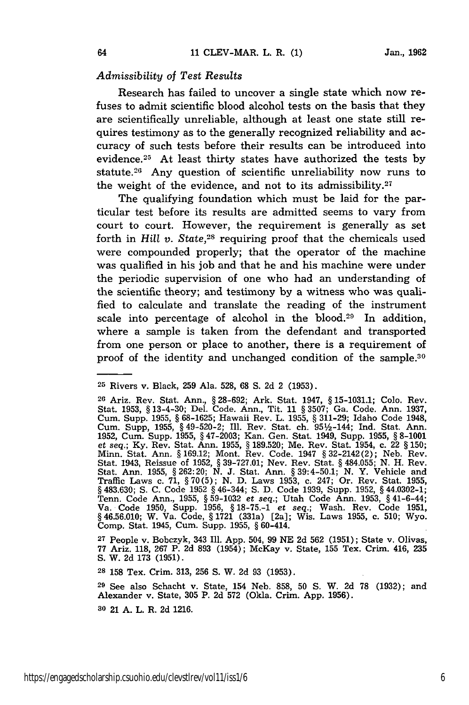### *Admissibility of Test Results*

Research has failed to uncover a single state which now refuses to admit scientific blood alcohol tests on the basis that they are scientifically unreliable, although at least one state still requires testimony as to the generally recognized reliability and accuracy of such tests before their results can be introduced into evidence.<sup>25</sup> At least thirty states have authorized the tests by statute.26 Any question of scientific unreliability now runs to the weight of the evidence, and not to its admissibility.<sup>27</sup>

The qualifying foundation which must be laid for the particular test before its results are admitted seems to vary from court to court. However, the requirement is generally as set forth in *Hill v. State,28* requiring proof that the chemicals used were compounded properly; that the operator of the machine was qualified in his job and that he and his machine were under the periodic supervision of one who had an understanding of the scientific theory; and testimony by a witness who was qualified to calculate and translate the reading of the instrument scale into percentage of alcohol in the blood.<sup>29</sup> In addition, where a sample is taken from the defendant and transported from one person or place to another, there is a requirement of proof of the identity and unchanged condition of the sample.<sup>30</sup>

**<sup>27</sup>**People v. Bobczyk, 343 Ill. App. 504, 99 NE 2d 562 (1951); State v. Olivas, 77 Ariz. **118, 267** P. 2d **893** (1954); McKay v. State, **155** Tex. Crim. 416, 235 S. W. 2d 173 (1951).

**28 158** Tex. Crim. 313, 256 **S.** W. 2d 93 (1953).

**<sup>29</sup>**See also Schacht v. State, 154 Neb. 858, 50 **S.** W. 2d 78 (1932); and Alexander v. State, 305 P. 2d 572 (Okla. Crim. App. 1956).

**30** 21 A. L. R. 2d 1216.

**<sup>25</sup>** Rivers v. Black, 259 Ala. 528, **68** S. 2d 2 (1953).

<sup>20</sup> Ariz. Rev. Stat. Ann., § 28-692; Ark. Stat. 1947, § 15-1031.1; Colo. Rev. Stat. 1953, § 13-4-30; Del. Code. Ann., Tit. 11 § 3507; Ga. Code. Ann. 1937, Cum. Supp. 1955, § 68-1625; Hawaii Rev. L. 1955, § 311-29; Idaho Code 1948, Cum. Supp, 1955, § 49-520-2; Ill. Rev. Stat. ch. 9512-144; Ind. Stat. Ann. 1952, Cum. Supp. 1955, § 47-2003; Kan. Gen. Stat. 1949, Supp. 1955, § 8-1001 et *seq.;* Ky. Rev. Stat. Ann. 1955, § 189.520; Me. Rev. Stat. 1954, c. 22 § 150; Minn. Stat. Ann. §169.12; Mont. Rev. Code. 1947 §32-2142(2); Neb. Rev. Stat. 1943, Reissue of 1952, § 39-727.01; Nev. Rev. Stat. § 484.055; N. H. Rev. Stat. Ann. 1955, § 262:20; N. J. Stat. Ann. § 39:4-50.1; **N.** Y. Vehicle and Traffic Laws c. 71, § 70(5); N. D. Laws 1953, c. 247; Or. Rev. Stat. 1955, § 483.630; **S.** C. Code 1952 § 46-344; S. D. Code 1939, Supp. 1952, § 44.0302-1; Tenn. Code Ann., 1955, § 59-1032 *et seq.;* Utah Code Ann. 1953, § 41-6-44; Va. Code 1950, Supp. 1956, § 18-75.-1 *et seq.;* Wash. Rev. Code 1951, *§* 46.56.010; W. Va. Code, § 1721 (331a) [2a]; Wis. Laws 1955, c. 510; Wyo. Comp. Stat. 1945, Cum. Supp. 1955, § 60-414.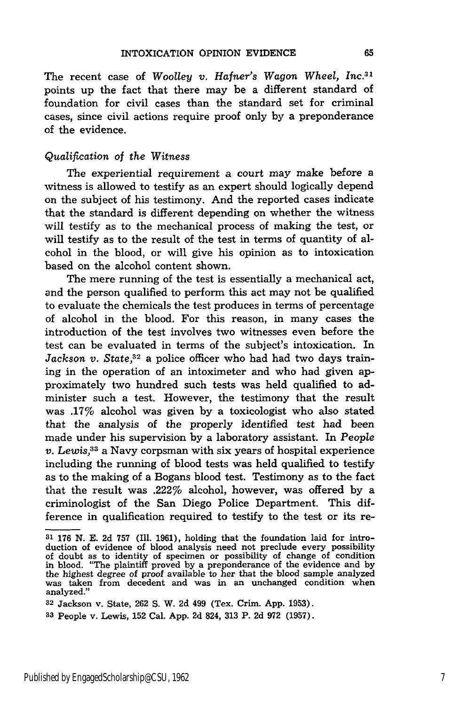The recent case of *Woolley v. Hafner's Wagon Wheel, Inc.3 1* points up the fact that there may be a different standard of foundation for civil cases than the standard set for criminal cases, since civil actions require proof only by a preponderance of the evidence.

### *Qualification of the Witness*

The experiential requirement a court may make before a witness is allowed to testify as an expert should logically depend on the subject of his testimony. And the reported cases indicate that the standard is different depending on whether the witness will testify as to the mechanical process of making the test, or will testify as to the result of the test in terms of quantity of alcohol in the blood, or will give his opinion as to intoxication based on the alcohol content shown.

The mere running of the test is essentially a mechanical act, and the person qualified to perform this act may not be qualified to evaluate the chemicals the test produces in terms of percentage of alcohol in the blood. For this reason, in many cases the introduction of the test involves two witnesses even before the test can be evaluated in terms of the subject's intoxication. In *Jackson v. State,32* a police officer who had had two days training in the operation of an intoximeter and who had given approximately two hundred such tests was held qualified to administer such a test. However, the testimony that the result was .17% alcohol was given by a toxicologist who also stated that the analysis of the properly identified test had been made under his supervision by a laboratory assistant. In *People v. Lewis,3 <sup>3</sup>*a Navy corpsman with six years of hospital experience including the running of blood tests was held qualified to testify as to the making of a Bogans blood test. Testimony as to the fact that the result was .222% alcohol, however, was offered by a criminologist of the San Diego Police Department. This difference in qualification required to testify to the test or its re-

**<sup>31</sup>** 176 N. E. 2d 757 (Ill. 1961), holding that the foundation laid for introduction of evidence of blood analysis need not preclude every possibility of doubt as to identity of specimen or possibility of change of condition in blood. "The plaintiff proved by a preponderance of the evidence and by the highest degree of proof available to her that the blood sample analyzed was taken from decedent and was in an unchanged condition when was taken from decedent and was in an unchanged condition when<br>analyzed."

<sup>32</sup>Jackson v. State, 262 S. W. 2d 499 (Tex. Crim. App. 1953).

*<sup>33</sup>* People v. Lewis, 152 Cal. App. 2d 824, **313** P. 2d 972 (1957).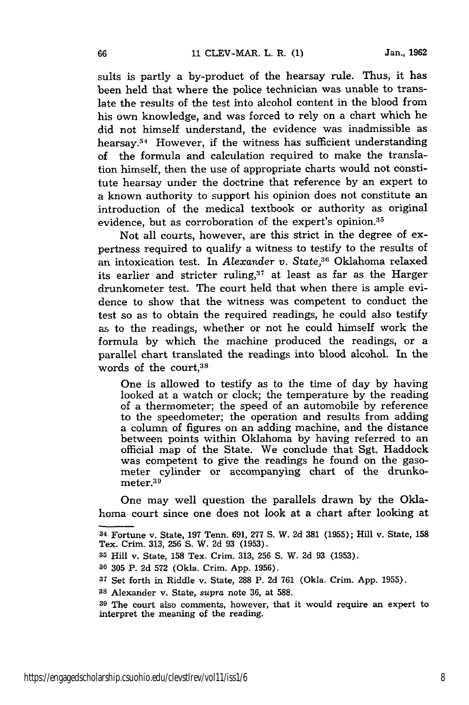sults is partly a by-product of the hearsay rule. Thus, it has been held that where the police technician was unable to translate the results of the test into alcohol content in the blood from his own knowledge, and was forced to rely on a chart which he did not himself understand, the evidence was inadmissible as hearsay.34 However, if the witness has sufficient understanding of the formula and calculation required to make the translation himself, then the use of appropriate charts would not constitute hearsay under the doctrine that reference by an expert to a known authority to support his opinion does not constitute an introduction of the medical textbook or authority as original evidence, but as corroboration of the expert's opinion.<sup>35</sup>

Not all courts, however, are this strict in the degree of expertness required to qualify a witness to testify to the results of an intoxication test. In *Alexander v. State*,<sup>36</sup> Oklahoma relaxed its earlier and stricter ruling,<sup>37</sup> at least as far as the Harger drunkometer test. The court held that when there is ample evidence to show that the witness was competent to conduct the test so as to obtain the required readings, he could also testify as to the readings, whether or not he could himself work the formula by which the machine produced the readings, or a parallel chart translated the readings into blood alcohol. In the words of the court.<sup>38</sup>

One is allowed to testify as to the time of day by having looked at a watch or clock; the temperature by the reading of a thermometer; the speed of an automobile by reference to the speedometer; the operation and results from adding a column of figures on an adding machine, and the distance between points within Oklahoma by having referred to an official map of the State. We conclude that Sgt. Haddock was competent to give the readings he found on the gasometer cylinder or accompanying chart of the drunkometer.<sup>39</sup>

One may well question the parallels drawn by the Oklahoma court since one does not look at a chart after looking at

<sup>34</sup> Fortune **v.** State, **197** Tenn. **691,** 277 **S.** W. **2d 381 (1955);** Hill v. State, **158** Tex. Crim. **313, 256 S.** W. **2d 93 (1953).**

**<sup>35</sup>**Hill v. State, **158** Tex. Crim. **313, 256 S.** W. **2d 93 (1953).**

**<sup>36 305</sup>** P. **2d 572** (Okla. Crim. **App. 1956).**

**<sup>37</sup>**Set forth in Riddle v. State, **288** P. **2d 761** (Okla. Crim. **App. 1955).**

**<sup>38</sup>**Alexander v. State, *supra* note **36,** at **588.**

**<sup>39</sup>**The court also comments, however, that it would require an expert to interpret the meaning of the reading.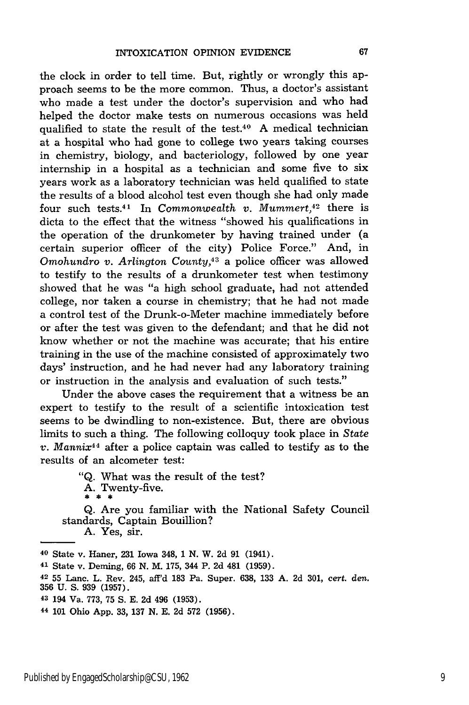the clock in order to tell time. But, rightly or wrongly this approach seems to be the more common. Thus, a doctor's assistant who made a test under the doctor's supervision and who had helped the doctor make tests on numerous occasions was held qualified to state the result of the test.40 A medical technician at a hospital who had gone to college two years taking courses in chemistry, biology, and bacteriology, followed by one year internship in a hospital as a technician and some five to six years work as a laboratory technician was held qualified to state the results of a blood alcohol test even though she had only made four such tests.<sup>41</sup> In *Commonwealth v. Mummert*,<sup>42</sup> there is dicta to the effect that the witness "showed his qualifications in the operation of the drunkometer by having trained under (a certain superior officer of the city) Police Force." And, in *Omohundro v. Arlington County,43* a police officer was allowed to testify to the results of a drunkometer test when testimony showed that he was "a high school graduate, had not attended college, nor taken a course in chemistry; that he had not made a control test of the Drunk-o-Meter machine immediately before or after the test was given to the defendant; and that he did not know whether or not the machine was accurate; that his entire training in the use of the machine consisted of approximately two days' instruction, and he had never had any laboratory training or instruction in the analysis and evaluation of such tests."

Under the above cases the requirement that a witness be an expert to testify to the result of a scientific intoxication test seems to be dwindling to non-existence. But, there are obvious limits to such a thing. The following colloquy took place in *State v. Mannix44* after a police captain was called to testify as to the results of an alcometer test:

> "Q. What was the result of the test?  $\mathbf{A.}$  Twenty-five.

Q. Are you familiar with the National Safety Council standards, Captain Bouillion?

A. Yes, sir.

40 State v. Haner, **231** Iowa 348, **1 N.** W. 2d **91** (1941).

<sup>41</sup>State v. Deming, 66 N. M. 175, 344 P. 2d 481 (1959).

**42 55** Lanc. L. Rev. 245, aff'd **183** Pa. Super. 638, 133 **A.** 2d 301, cert. den. 356 U. S. 939 (1957).

**<sup>43</sup>**194 Va. **773, 75** S. E. **2d** 496 (1953).

**<sup>44</sup>**101 Ohio App. 33, 137 N. E. **2d** 572 (1956).

67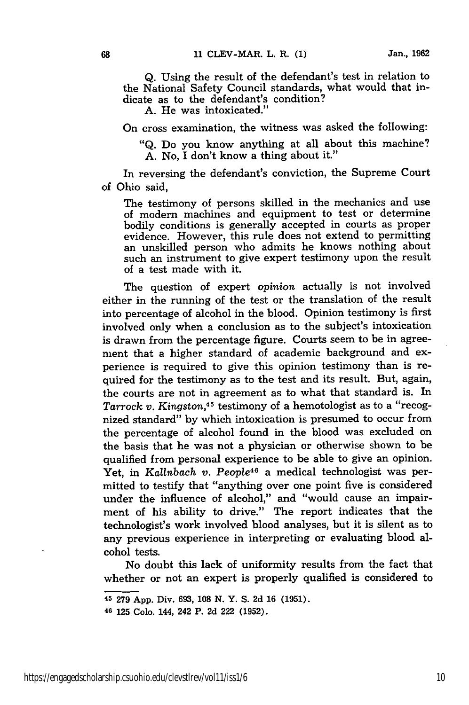Q. Using the result of the defendant's test in relation to the National Safety Council standards, what would that indicate as to the defendant's condition?

A. He was intoxicated."

On cross examination, the witness was asked the following:

"Q. Do you know anything at all about this machine? A. No, I don't know a thing about it."

In reversing the defendant's conviction, the Supreme Court of Ohio said,

The testimony of persons skilled in the mechanics and use of modern machines and equipment to test or determine bodily conditions is generally accepted in courts as proper evidence. However, this rule does not extend to permitting an unskilled person who admits he knows nothing about such an instrument to give expert testimony upon the result of a test made with it.

The question of expert *opinion* actually is not involved either in the running of the test or the translation of the result into percentage of alcohol in the blood. Opinion testimony is first involved only when a conclusion as to the subject's intoxication is drawn from the percentage figure. Courts seem to be in agreement that a higher standard of academic background and experience is required to give this opinion testimony than is required for the testimony as to the test and its result. But, again, the courts are not in agreement as to what that standard is. In *Tarrock v. Kingston,4 5* testimony of a hemotologist as to a "recognized standard" by which intoxication is presumed to occur from the percentage of alcohol found in the blood was excluded on the basis that he was not a physician or otherwise shown to be qualified from personal experience to be able to give an opinion. Yet, in *Kallnbach v. People48* a medical technologist was permitted to testify that "anything over one point five is considered under the influence of alcohol," and "would cause an impairment of his ability to drive." The report indicates that the technologist's work involved blood analyses, but it is silent as to any previous experience in interpreting or evaluating blood alcohol tests.

No doubt this lack of uniformity results from the fact that whether or not an expert is properly qualified is considered to

<sup>45</sup>279 App. Div. 693, 108 N. Y. **S.** 2d 16 (1951).

<sup>46</sup>125 Colo. 144, 242 P. 2d 222 (1952).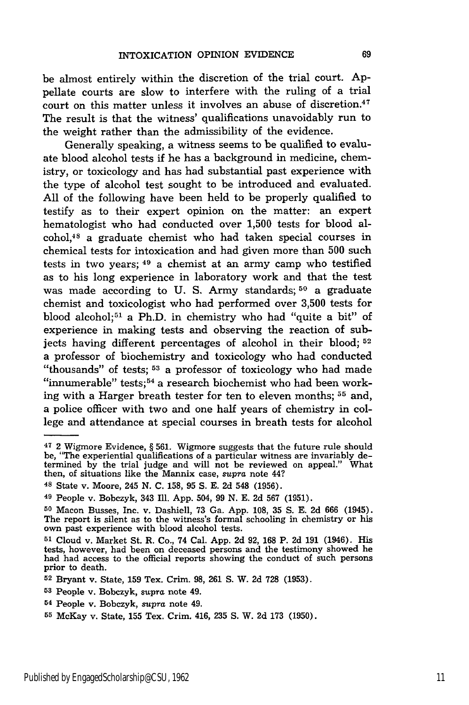be almost entirely within the discretion of the trial court. Appellate courts are slow to interfere with the ruling of a trial court on this matter unless it involves an abuse of discretion.<sup>47</sup> The result is that the witness' qualifications unavoidably run to the weight rather than the admissibility of the evidence.

Generally speaking, a witness seems to be qualified to evaluate blood alcohol tests if he has a background in medicine, chemistry, or toxicology and has had substantial past experience with the type of alcohol test sought to be introduced and evaluated. All of the following have been held to be properly qualified to testify as to their expert opinion on the matter: an expert hematologist who had conducted over 1,500 tests for blood alcohol,48 a graduate chemist who had taken special courses in chemical tests for intoxication and had given more than 500 such tests in two years; 49 a chemist at an army camp who testified as to his long experience in laboratory work and that the test was made according to **U.** S. Army standards; **50** a graduate chemist and toxicologist who had performed over 3,500 tests for blood alcohol;<sup>51</sup> a Ph.D. in chemistry who had "quite a bit" of experience in making tests and observing the reaction of subjects having different percentages of alcohol in their blood; **<sup>52</sup>** a professor of biochemistry and toxicology who had conducted "thousands" of tests; **53** a professor of toxicology who had made "innumerable" tests;<sup>54</sup> a research biochemist who had been working with a Harger breath tester for ten to eleven months; **55** and, a police officer with two and one half years of chemistry in college and attendance at special courses in breath tests for alcohol

**<sup>47</sup>**2 Wigmore Evidence, § 561. Wigmore suggests that the future rule should be, "The experiential qualifications of a particular witness are invariably determined by the trial judge and will not be reviewed on appeal." What then, of situations like the Mannix case, *supra* note 44?

<sup>48</sup> State v. Moore, 245 N. C. 158, 95 **S.** E. 2d 548 (1956).

**<sup>49</sup>**People v. Bobczyk, 343 Ill. App. 504, 99 N. E. 2d 567 (1951).

**<sup>50</sup>**Macon Busses, Inc. v. Dashiell, 73 Ga. App. 108, **35** S. E. 2d 666 (1945). The report is silent as to the witness's formal schooling in chemistry or his own past experience with blood alcohol tests.

**<sup>51</sup>**Cloud v. Market St. R. Co., 74 Cal. App. 2d 92, **168** P. 2d 191 (1946). His tests, however, had been on deceased persons and the testimony showed he had had access to the official reports showing the conduct of such persons prior to death.

**<sup>52</sup>**Bryant v. State, 159 Tex. Crim. **98,** 261 **S.** W. 2d **728** (1953).

**<sup>53</sup>**People v. Bobczyk, supra note 49.

**<sup>54</sup>**People v. Bobczyk, *supra* note 49.

**<sup>55</sup>**McKay v. State, **155** Tex. Crim. 416, **235 S.** W. **2d 173 (1950).**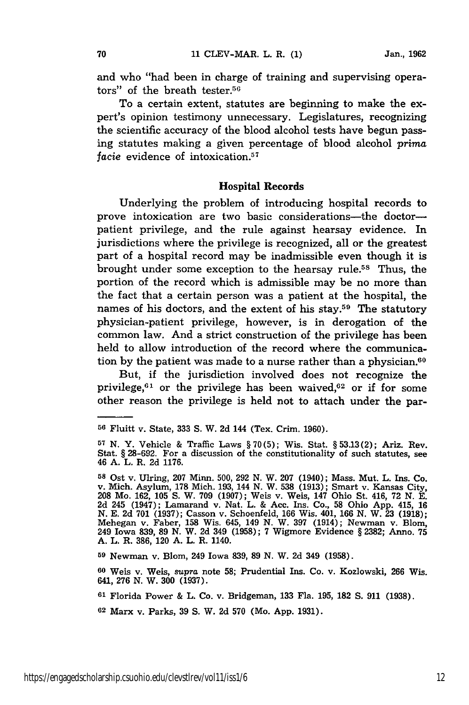and who "had been in charge of training and supervising operators" of the breath tester.56

To a certain extent, statutes are beginning to make the expert's opinion testimony unnecessary. Legislatures, recognizing the scientific accuracy of the blood alcohol tests have begun passing statutes making a given percentage of blood alcohol *prima facie* evidence of intoxication.<sup>57</sup>

#### **Hospital Records**

Underlying the problem of introducing hospital records to prove intoxication are two basic considerations-the doctorpatient privilege, and the rule against hearsay evidence. In jurisdictions where the privilege is recognized, all or the greatest part of a hospital record may be inadmissible even though it is brought under some exception to the hearsay rule.5s Thus, the portion of the record which is admissible may be no more than the fact that a certain person was a patient at the hospital, the names of his doctors, and the extent of his stay.<sup>59</sup> The statutory physician-patient privilege, however, is in derogation of the common law. And a strict construction of the privilege has been held to allow introduction of the record where the communication by the patient was made to a nurse rather than a physician.<sup>60</sup>

But, if the jurisdiction involved does not recognize the privilege, $61$  or the privilege has been waived, $62$  or if for some other reason the privilege is held not to attach under the par-

**59** Newman v. Blom, 249 Iowa **839, 89 N.** W. **2d** 349 **(1958).**

**<sup>60</sup>**Weis v. Weis, *supra* note **58;** Prudential Ins. Co. v. Kozlowski, **266** Wis. 641, **276 N.** W. **300 (1937).**

**<sup>61</sup>**Florida Power **&** L. Co. v. Bridgeman, **133** Fla. **195, 182 S. 911 (1938).**

**<sup>62</sup>**Marx v. Parks, **39 S.** W. **2d 570** (Mo. **App. 1931).**

**<sup>56</sup>**Fluitt v. State, **333 S.** W. **2d** 144 (Tex. Crim. 1960).

**<sup>57</sup>**N. Y. Vehicle & Traffic Laws § 70(5); Wis. Stat. § 53.13(2); Ariz. Rev. Stat. § **28-692.** For a discussion of the constitutionality of such statutes, see 46 **A.** L. R. **2d 1176.**

**<sup>58</sup>**Ost v. Ulring, **207** Minn. 500, 292 **N.** W. 207 (1940); Mass. Mut. L. Ins. Co. v. Mich. Asylum, **178** Mich. 193, 144 N. W. 538 (1913); Smart v. Kansas City, **<sup>208</sup>**Mo. 162, 105 **S.** W. 709 (1907); Weis v. Weis, 147 Ohio St. 416, 72 N. E. 2d 245 (1947); Lamarand v. Nat. L. & Acc. Ins. Co., **58** Ohio App. 415, **16** N. E. 2d **701** (1937); Casson v. Schoenfeld, 166 Wis. 401, 166 N. W. **23** (1918); Mehegan v. Faber, **158** Wis. 645, 149 **N.** W. 397 (1914); Newman v. Blom, 249 Iowa **839, 89 N.** W. **2d** 349 **(1958); 7** Wigmore Evidence **§ 2382;** Anno. **75 A.** L. R. **386,** 120 **A.** L. R. 1140.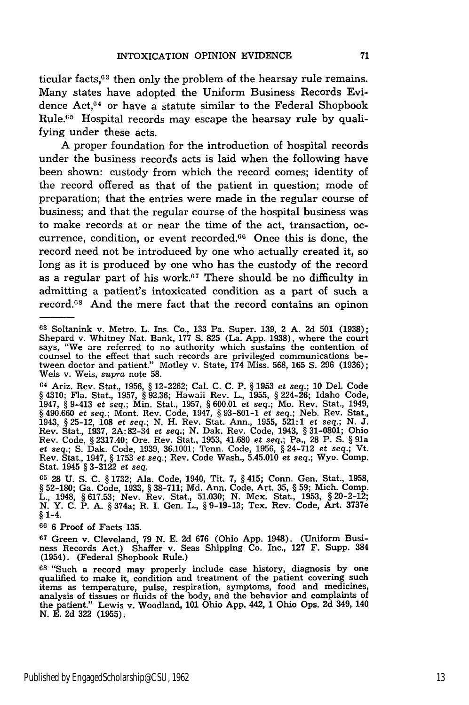ticular facts,<sup>63</sup> then only the problem of the hearsay rule remains. Many states have adopted the Uniform Business Records Evidence Act,64 or have a statute similar to the Federal Shopbook Rule.<sup>65</sup> Hospital records may escape the hearsay rule by qualifying under these acts.

A proper foundation for the introduction of hospital records under the business records acts is laid when the following have been shown: custody from which the record comes; identity of the record offered as that of the patient in question; mode of preparation; that the entries were made in the regular course of business; and that the regular course of the hospital business was to make records at or near the time of the act, transaction, occurrence, condition, or event recorded. $66$  Once this is done, the record need not be introduced by one who actually created it, so long as it is produced by one who has the custody of the record as a regular part of his work. $67$  There should be no difficulty in admitting a patient's intoxicated condition as a part of such a record.<sup>68</sup> And the mere fact that the record contains an opinon

64 Ariz. Rev. Stat., 1956, § 12-2262; Cal. C. C. P. § 1953 et *seq.;* 10 Del. Code § 4310; Fla. Stat., 1957, § 92.36; Hawaii Rev. L., 1955, § 224-26; Idaho Code, 1947, § 9-413 et *seq.;* Min. Stat., 1957, § 600.01 et *seq.;* Mo. Rev. Stat., 1949, § 490.660 et *seq.;* Mont. Rev. Code, 1947, § 93-801-1 *et seq.;* Neb. Rev. Stat., 1943, § 25-12, 108 *et seq.;* N. H. Rev. Stat. Ann., 1955, 521:1 *et seq.; N. J.* Rev. Stat., 1937, 2A:82-34 *et seq.;* N. Dak. Rev. Code, 1943, § 31-0801; Ohio Rev. Code, § 2317.40; Ore. Rev. Stat., 1953, 41.680 *et seq.;* Pa., 28 P. S. § 91a *et seq.;* S. Dak. Code, 1939, 36.1001; Tenn. Code, 1956, § 24-712 et *seq.;* Vt. Rev. Stat., 1947, § 1753 *et seq.;* Rev. Code Wash., 5.45.010 *et seq.;* Wyo. Comp. Stat. 1945 § 3-3122 et *seq.*

65 28 U. S. C. § 1732; Ala. Code, 1940, Tit. 7, § 415; Conn. Gen. Stat., 1958, § 52-180; Ga. Code, 1933, § 38-711; Md. Ann. Code, Art. 35, § 59; Mich. Comp. L., 1948, § 617.53; Nev. Rev. Stat., 51.030; N. Mex. Stat., 1953, § 20-2-12<br>N. Y. C. P. A. § 374a; R. I. Gen. L., § 9-19-13; Tex. Rev. Code, Art. 3737e **§** 1-4.

**66 6** Proof of Facts **135.**

**67** Green v. Cleveland, **79 N. E. 2d 676** (Ohio **App.** 1948). (Uniform Business Records Act.) Shaffer v. Seas Shipping Co. Inc., **127** F. Supp. 384 (1954). (Federal Shopbook Rule.)

**<sup>68</sup>**"Such a record may properly include case history, diagnosis **by** one qualified to make it, condition and treatment of the patient covering such items as temperature, pulse, respiration, symptoms, food and medicines, analysis of tissues or fluids of the body, and the behavior and complaints of the patient." Lewis v. Woodland, **101** Ohio **App.** 442, **1** Ohio Ops. **2d** 349, 140 **N. E. 2d 322 (1955).**

<sup>63</sup> Soltanink v. Metro. L. Ins. Co., 133 Pa. Super. 139, 2 A. 2d 501 (1938); Shepard v. Whitney Nat. Bank, 177 S. 825 (La. App. 1938), where the court says, "We are referred to no authority which sustains the contention of counsel to the effect that such records are privileged communications between doctor and patient." Motley v. State, 174 Miss. 568, 165 **S.** 296 (1936); Weis v. Weis, *supra* note 58.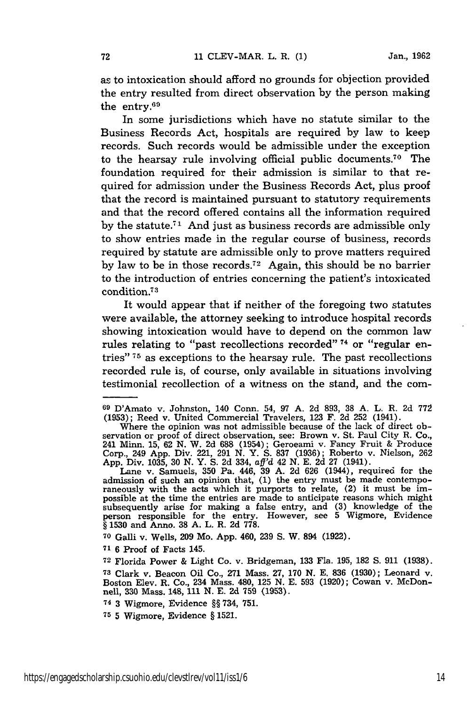as to intoxication should afford no grounds for objection provided the entry resulted from direct observation by the person making the entry.<sup>69</sup>

In some jurisdictions which have no statute similar to the Business Records Act, hospitals are required by law to keep records. Such records would be admissible under the exception to the hearsay rule involving official public documents.70 The foundation required for their admission is similar to that required for admission under the Business Records Act, plus proof that the record is maintained pursuant to statutory requirements and that the record offered contains all the information required by the statute.<sup> $71$ </sup> And just as business records are admissible only to show entries made in the regular course of business, records required by statute are admissible only to prove matters required by law to be in those records.<sup>72</sup> Again, this should be no barrier to the introduction of entries concerning the patient's intoxicated condition.<sup>73</sup>

It would appear that if neither of the foregoing two statutes were available, the attorney seeking to introduce hospital records showing intoxication would have to depend on the common law rules relating to "past recollections recorded" 74 or "regular entries" **75** as exceptions to the hearsay rule. The past recollections recorded rule is, of course, only available in situations involving testimonial recollection of a witness on the stand, and the com-

**70** Galli v. Wells, 209 Mo. App. 460, 239 S. W. 894 (1922).

**<sup>71</sup>**6 Proof of Facts 145.

**<sup>72</sup>**Florida Power & Light Co. v. Bridgeman, 133 Fla. 195, **182** S. 911 (1938). **<sup>73</sup>**Clark v. Beacon Oil Co., 271 Mass. 27, 170 N. E. 836 (1930); Leonard v. Boston Elev. R. Co., 234 Mass. 480, 125 N. E. 593 (1920); Cowan v. McDonnell, 330 Mass. 148, **111 N. E. 2d** 759 **(1953).**

**74 3** Wigmore, Evidence **§§** 734, **751.**

**<sup>75</sup>**5 Wigmore, Evidence § **1521.**

**<sup>69</sup>**D'Amato v. Johnston, 140 Conn. 54, 97 A. 2d 893, 38 A. L. R. 2d 772 (1953); Reed v. United Commercial Travelers, 123 F. 2d 252 (1941).

Where the opinion was not admissible because of the lack of direct observation or proof of direct observation, see: Brown v. St. Paul City R. Co., 241 Minn. 15, 62 N. W. 2d 688 (1954); Geroeami v. Fancy Fruit & Produce Corp., 249 App. Div. 221, 291 N. Y. S. 837 (1936); Roberto v. Nielson, 262 App. Div. 1035, 30 N. Y. S. 2d 334, *aff'd* 42 N. E. 2d 27 (1941). Lane v. Samuels, 350 Pa. 446, 39 A. 2d 626 (1944), required for the

admission of such an opinion that, (1) the entry must be made contempo-raneously with the acts which it purports to relate, (2) it must be impossible at the time the entries are made to anticipate reasons which might subsequently arise for making a false entry, and (3) knowledge of the person responsible for the entry. However, see 5 Wigmore, Evidence § 1530 and Anno. 38 A. L. R. 2d 778